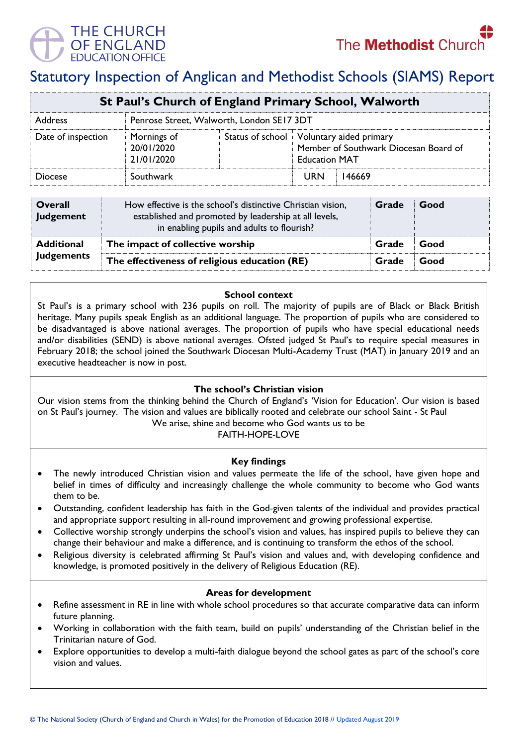

# Statutory Inspection of Anglican and Methodist Schools (SIAMS) Report

| St Paul's Church of England Primary School, Walworth |                                           |  |                                                                                                             |  |  |
|------------------------------------------------------|-------------------------------------------|--|-------------------------------------------------------------------------------------------------------------|--|--|
| Address                                              | Penrose Street, Walworth, London SE17 3DT |  |                                                                                                             |  |  |
| Date of inspection                                   | Mornings of<br>20/01/2020<br>21/01/2020   |  | Status of school   Voluntary aided primary<br>Member of Southwark Diocesan Board of<br><b>Education MAT</b> |  |  |
| Diocese                                              | Southwark                                 |  | <b>URN</b><br>146669                                                                                        |  |  |

| <b>Overall</b><br>Judgement | How effective is the school's distinctive Christian vision,<br>established and promoted by leadership at all levels,<br>in enabling pupils and adults to flourish? | Grade | Good |
|-----------------------------|--------------------------------------------------------------------------------------------------------------------------------------------------------------------|-------|------|
| <b>Additional</b>           | The impact of collective worship                                                                                                                                   | Grade | Good |
| <b>Judgements</b>           | The effectiveness of religious education (RE)                                                                                                                      | Grade | Good |

## **School context**

St Paul's is a primary school with 236 pupils on roll. The majority of pupils are of Black or Black British heritage. Many pupils speak English as an additional language. The proportion of pupils who are considered to be disadvantaged is above national averages. The proportion of pupils who have special educational needs and/or disabilities (SEND) is above national averages. Ofsted judged St Paul's to require special measures in February 2018; the school joined the Southwark Diocesan Multi-Academy Trust (MAT) in January 2019 and an executive headteacher is now in post.

## **The school's Christian vision**

Our vision stems from the thinking behind the Church of England's 'Vision for Education'. Our vision is based on St Paul's journey. The vision and values are biblically rooted and celebrate our school Saint - St Paul We arise, shine and become who God wants us to be

FAITH-HOPE-LOVE

## **Key findings**

- The newly introduced Christian vision and values permeate the life of the school, have given hope and belief in times of difficulty and increasingly challenge the whole community to become who God wants them to be.
- Outstanding, confident leadership has faith in the God-given talents of the individual and provides practical and appropriate support resulting in all-round improvement and growing professional expertise.
- Collective worship strongly underpins the school's vision and values, has inspired pupils to believe they can change their behaviour and make a difference, and is continuing to transform the ethos of the school.
- Religious diversity is celebrated affirming St Paul's vision and values and, with developing confidence and knowledge, is promoted positively in the delivery of Religious Education (RE).

#### **Areas for development**

- Refine assessment in RE in line with whole school procedures so that accurate comparative data can inform future planning.
- Working in collaboration with the faith team, build on pupils' understanding of the Christian belief in the Trinitarian nature of God.
- Explore opportunities to develop a multi-faith dialogue beyond the school gates as part of the school's core vision and values.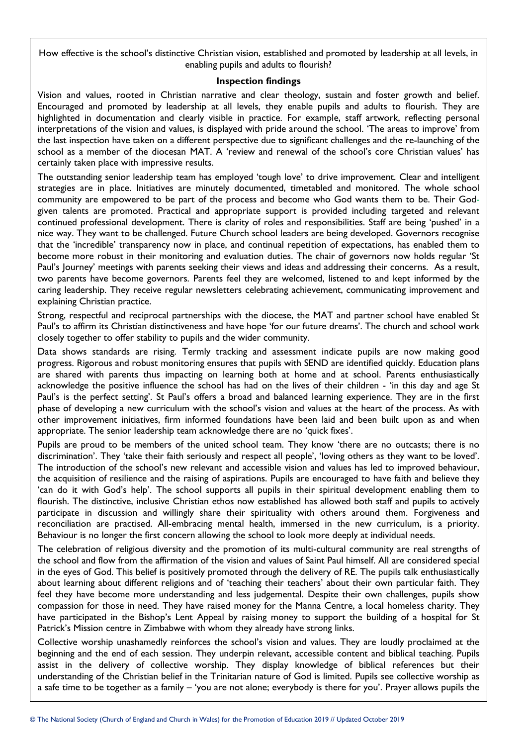How effective is the school's distinctive Christian vision, established and promoted by leadership at all levels, in enabling pupils and adults to flourish?

#### **Inspection findings**

Vision and values, rooted in Christian narrative and clear theology, sustain and foster growth and belief. Encouraged and promoted by leadership at all levels, they enable pupils and adults to flourish. They are highlighted in documentation and clearly visible in practice. For example, staff artwork, reflecting personal interpretations of the vision and values, is displayed with pride around the school. 'The areas to improve' from the last inspection have taken on a different perspective due to significant challenges and the re-launching of the school as a member of the diocesan MAT. A 'review and renewal of the school's core Christian values' has certainly taken place with impressive results.

The outstanding senior leadership team has employed 'tough love' to drive improvement. Clear and intelligent strategies are in place. Initiatives are minutely documented, timetabled and monitored. The whole school community are empowered to be part of the process and become who God wants them to be. Their Godgiven talents are promoted. Practical and appropriate support is provided including targeted and relevant continued professional development. There is clarity of roles and responsibilities. Staff are being 'pushed' in a nice way. They want to be challenged. Future Church school leaders are being developed. Governors recognise that the 'incredible' transparency now in place, and continual repetition of expectations, has enabled them to become more robust in their monitoring and evaluation duties. The chair of governors now holds regular 'St Paul's Journey' meetings with parents seeking their views and ideas and addressing their concerns. As a result, two parents have become governors. Parents feel they are welcomed, listened to and kept informed by the caring leadership. They receive regular newsletters celebrating achievement, communicating improvement and explaining Christian practice.

Strong, respectful and reciprocal partnerships with the diocese, the MAT and partner school have enabled St Paul's to affirm its Christian distinctiveness and have hope 'for our future dreams'. The church and school work closely together to offer stability to pupils and the wider community.

Data shows standards are rising. Termly tracking and assessment indicate pupils are now making good progress. Rigorous and robust monitoring ensures that pupils with SEND are identified quickly. Education plans are shared with parents thus impacting on learning both at home and at school. Parents enthusiastically acknowledge the positive influence the school has had on the lives of their children - 'in this day and age St Paul's is the perfect setting'. St Paul's offers a broad and balanced learning experience. They are in the first phase of developing a new curriculum with the school's vision and values at the heart of the process. As with other improvement initiatives, firm informed foundations have been laid and been built upon as and when appropriate. The senior leadership team acknowledge there are no 'quick fixes'.

Pupils are proud to be members of the united school team. They know 'there are no outcasts; there is no discrimination'. They 'take their faith seriously and respect all people', 'loving others as they want to be loved'. The introduction of the school's new relevant and accessible vision and values has led to improved behaviour, the acquisition of resilience and the raising of aspirations. Pupils are encouraged to have faith and believe they 'can do it with God's help'. The school supports all pupils in their spiritual development enabling them to flourish. The distinctive, inclusive Christian ethos now established has allowed both staff and pupils to actively participate in discussion and willingly share their spirituality with others around them. Forgiveness and reconciliation are practised. All-embracing mental health, immersed in the new curriculum, is a priority. Behaviour is no longer the first concern allowing the school to look more deeply at individual needs.

The celebration of religious diversity and the promotion of its multi-cultural community are real strengths of the school and flow from the affirmation of the vision and values of Saint Paul himself. All are considered special in the eyes of God. This belief is positively promoted through the delivery of RE. The pupils talk enthusiastically about learning about different religions and of 'teaching their teachers' about their own particular faith. They feel they have become more understanding and less judgemental. Despite their own challenges, pupils show compassion for those in need. They have raised money for the Manna Centre, a local homeless charity. They have participated in the Bishop's Lent Appeal by raising money to support the building of a hospital for St Patrick's Mission centre in Zimbabwe with whom they already have strong links.

Collective worship unashamedly reinforces the school's vision and values. They are loudly proclaimed at the beginning and the end of each session. They underpin relevant, accessible content and biblical teaching. Pupils assist in the delivery of collective worship. They display knowledge of biblical references but their understanding of the Christian belief in the Trinitarian nature of God is limited. Pupils see collective worship as a safe time to be together as a family – 'you are not alone; everybody is there for you'. Prayer allows pupils the